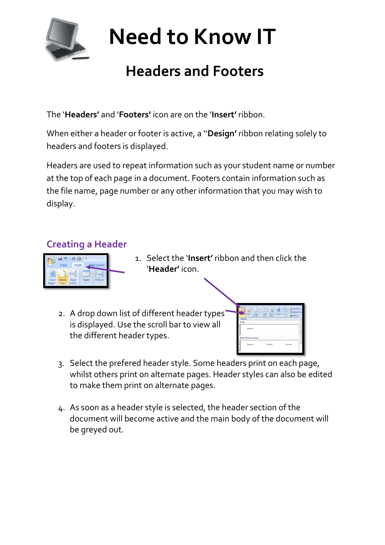

# **Need to Know IT**

## **Headers and Footers**

The '**Headers'** and '**Footers'** icon are on the '**Insert'** ribbon.

When either a header or footer is active, a ''**Design'** ribbon relating solely to headers and footers is displayed.

Headers are used to repeat information such as your student name or number at the top of each page in a document. Footers contain information such as the file name, page number or any other information that you may wish to display.

#### **Creating a Header**



- 1. Select the '**Insert'** ribbon and then click the '**Header'** icon.
- 2. A drop down list of different header types is displayed. Use the scroll bar to view all the different header types.



- 3. Select the prefered header style. Some headers print on each page, whilst others print on alternate pages. Header styles can also be edited to make them print on alternate pages.
- 4. As soon as a header style is selected, the header section of the document will become active and the main body of the document will be greyed out.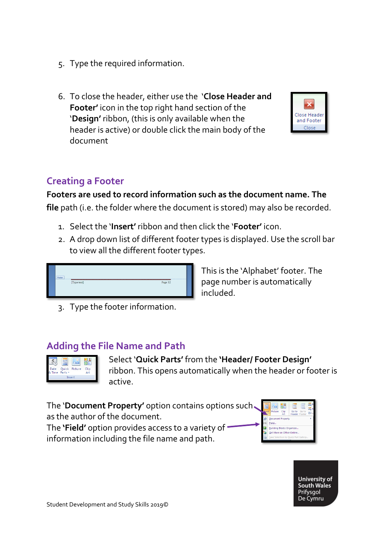- 5. Type the required information.
- 6. To close the header, either use the '**Close Header and Footer'** icon in the top right hand section of the '**Design'** ribbon, (this is only available when the header is active) or double click the main body of the document



#### **Footers are used to record information such as the document name. The file** path (i.e. the folder where the document is stored) may also be recorded.

- 1. Select the '**Insert'** ribbon and then click the '**Footer'** icon.
- 2. A drop down list of different footer types is displayed. Use the scroll bar to view all the different footer types.



3. Type the footer information.

This is the 'Alphabet' footer. The page number is automatically included.

#### **Adding the File Name and Path**



Select '**Quick Parts'** from the **'Header/ Footer Design'** ribbon. This opens automatically when the header or footer is active.

The '**Document Property'** option contains options such as the author of the document. The **'Field'** option provides access to a variety of

information including the file name and path.





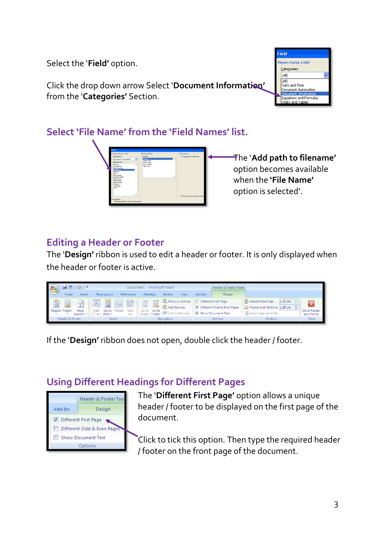Select the '**Field'** option.

Click the drop down arrow Select '**Document Information'** from the '**Categories'** Section.



#### **Select 'File Name' from the 'Field Names' list.**



The '**Add path to filename'** option becomes available when the **'File Name'** option is selected'.

### **Editing a Header or Footer**

The '**Design'** ribbon is used to edit a header or footer. It is only displayed when the header or footer is active.

| CB                 | <b>in</b><br>▼ 西 → ▼ |                  |                                 |                     | Document1 - Microsoft Word    |                       |      |         | Header & Footer Tools      |                                                         |         |                            |
|--------------------|----------------------|------------------|---------------------------------|---------------------|-------------------------------|-----------------------|------|---------|----------------------------|---------------------------------------------------------|---------|----------------------------|
|                    | Home                 | Insert           | Page Lavout                     | References          | Mailings                      | Review                | View | Add-Ins | Design                     |                                                         |         |                            |
| E                  | P                    | $\equiv$         | E<br>5 <sub>c</sub>             | <b>HA</b><br>$\sim$ | İ<br>Ēī<br>▤                  | Previous Section      |      |         | Different First Page       | Header from Top:                                        | 1.25 cm |                            |
|                    |                      |                  |                                 |                     |                               | <b>图</b> Next Section |      |         | Different Odd & Even Pages | $\Rightarrow$ Footer from Bottom: 1.25 cm $\Rightarrow$ |         |                            |
| Header Footer<br>۱ |                      | Page<br>Number * | Ouick<br>Date<br>& Time Parts * | Clip<br>Art         | Goto<br>Goto<br>Header Footer | Link to Previous      |      |         | Show Document Text         | Insert Alignment Tab                                    |         | Close Header<br>and Footer |
|                    | Header & Footer      |                  | Insert                          |                     |                               | Navigation            |      |         | <b>Options</b>             | <b>Position</b>                                         |         | Close                      |

If the '**Design'** ribbon does not open, double click the header / footer.

### **Using Different Headings for Different Pages**



The '**Different First Page'** option allows a unique header / footer to be displayed on the first page of the document.

Click to tick this option. Then type the required header / footer on the front page of the document.